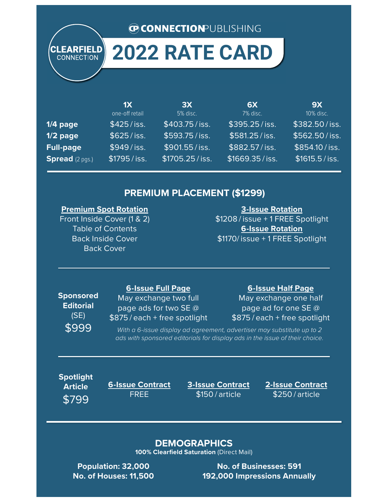#### **CONNECTION PUBLISHING**

## **2022 RATE CARD**

|                        | 1X<br>one-off retail | 3X<br>5% disc. | <b>6X</b><br>7% disc. | <b>9X</b><br>10% disc. |
|------------------------|----------------------|----------------|-----------------------|------------------------|
| $1/4$ page             | $$425/$ iss.         | \$403.75/iss.  | \$395.25/iss.         | \$382.50/iss.          |
| $1/2$ page             | $$625/$ iss.         | \$593.75/iss.  | \$581.25/iss.         | \$562.50/iss.          |
| <b>Full-page</b>       | $$949/$ iss.         | \$901.55/iss.  | $$882.57/$ iss.       | \$854.10/iss.          |
| <b>Spread</b> (2 pgs.) | $$1795 /$ iss.       | \$1705.25/iss. | \$1669.35/iss.        | $$1615.5/$ iss.        |

#### **PREMIUM PLACEMENT (\$1299)**

#### **Premium Spot Rotation**

Front Inside Cover (1 & 2) Table of Contents Back Inside Cover Back Cover

**3-Issue Rotation** \$1208/issue + 1 FREE Spotlight **6-Issue Rotation** \$1170/issue + 1 FREE Spotlight

## **Sponsored Editorial**  (SE)

**CLEARFIELD CONNECTION** 

#### **6-Issue Full Page**

May exchange two full page ads for two SE @ \$875/each + free spotlight

#### **6-Issue Half Page**

May exchange one half page ad for one SE @ \$875/each + free spotlight

\$999 With a 6-issue display ad agreement, advertiser may substitute up to 2 ads with sponsored editorials for display ads in the issue of their choice.

**Spotlight Article** \$799

**6-Issue Contract** FREE

**3-Issue Contract** \$150/article

**2-Issue Contract** \$250/article

#### **DEMOGRAPHICS**

**100% Clearfield Saturation** (Direct Mail)

**Population: 32,000 No. of Houses: 11,500**

**No. of Businesses: 591 192,000 Impressions Annually**